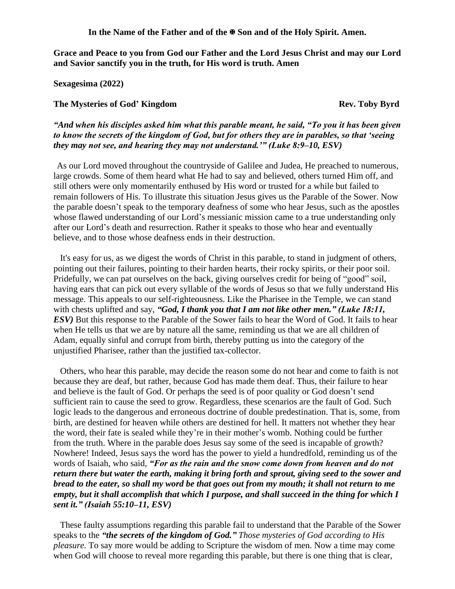**In the Name of the Father and of the Son and of the Holy Spirit. Amen.**

**Grace and Peace to you from God our Father and the Lord Jesus Christ and may our Lord and Savior sanctify you in the truth, for His word is truth. Amen**

**Sexagesima (2022)**

## **The Mysteries of God' Kingdom Rev. Toby Byrd**

*"And when his disciples asked him what this parable meant, he said, "To you it has been given to know the secrets of the kingdom of God, but for others they are in parables, so that 'seeing they may not see, and hearing they may not understand.'" (Luke 8:9–10, ESV)* 

As our Lord moved throughout the countryside of Galilee and Judea, He preached to numerous, large crowds. Some of them heard what He had to say and believed, others turned Him off, and still others were only momentarily enthused by His word or trusted for a while but failed to remain followers of His. To illustrate this situation Jesus gives us the Parable of the Sower. Now the parable doesn't speak to the temporary deafness of some who hear Jesus, such as the apostles whose flawed understanding of our Lord's messianic mission came to a true understanding only after our Lord's death and resurrection. Rather it speaks to those who hear and eventually believe, and to those whose deafness ends in their destruction.

It's easy for us, as we digest the words of Christ in this parable, to stand in judgment of others, pointing out their failures, pointing to their harden hearts, their rocky spirits, or their poor soil. Pridefully, we can pat ourselves on the back, giving ourselves credit for being of "good" soil, having ears that can pick out every syllable of the words of Jesus so that we fully understand His message. This appeals to our self-righteousness. Like the Pharisee in the Temple, we can stand with chests uplifted and say, "God, I thank you that I am not like other men." (Luke 18:11, *ESV*) But this response to the Parable of the Sower fails to hear the Word of God. It fails to hear when He tells us that we are by nature all the same, reminding us that we are all children of Adam, equally sinful and corrupt from birth, thereby putting us into the category of the unjustified Pharisee, rather than the justified tax-collector.

Others, who hear this parable, may decide the reason some do not hear and come to faith is not because they are deaf, but rather, because God has made them deaf. Thus, their failure to hear and believe is the fault of God. Or perhaps the seed is of poor quality or God doesn't send sufficient rain to cause the seed to grow. Regardless, these scenarios are the fault of God. Such logic leads to the dangerous and erroneous doctrine of double predestination. That is, some, from birth, are destined for heaven while others are destined for hell. It matters not whether they hear the word, their fate is sealed while they're in their mother's womb. Nothing could be further from the truth. Where in the parable does Jesus say some of the seed is incapable of growth? Nowhere! Indeed, Jesus says the word has the power to yield a hundredfold, reminding us of the words of Isaiah, who said, *"For as the rain and the snow come down from heaven and do not return there but water the earth, making it bring forth and sprout, giving seed to the sower and bread to the eater, so shall my word be that goes out from my mouth; it shall not return to me empty, but it shall accomplish that which I purpose, and shall succeed in the thing for which I sent it." (Isaiah 55:10–11, ESV)* 

These faulty assumptions regarding this parable fail to understand that the Parable of the Sower speaks to the *"the secrets of the kingdom of God." Those mysteries of God according to His pleasure.* To say more would be adding to Scripture the wisdom of men. Now a time may come when God will choose to reveal more regarding this parable, but there is one thing that is clear,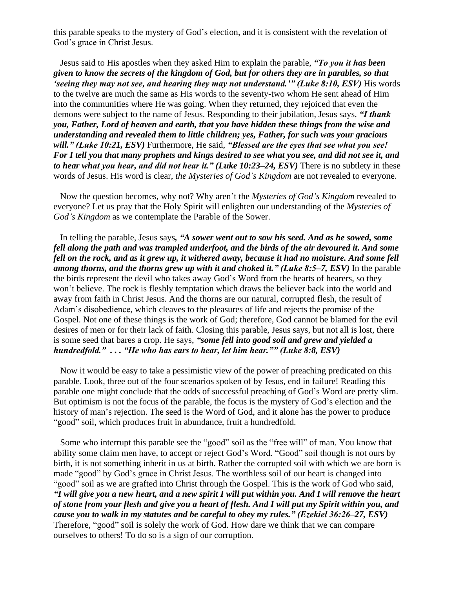this parable speaks to the mystery of God's election, and it is consistent with the revelation of God's grace in Christ Jesus.

Jesus said to His apostles when they asked Him to explain the parable, *"To you it has been given to know the secrets of the kingdom of God, but for others they are in parables, so that 'seeing they may not see, and hearing they may not understand.'" (Luke 8:10, ESV)* His words to the twelve are much the same as His words to the seventy-two whom He sent ahead of Him into the communities where He was going. When they returned, they rejoiced that even the demons were subject to the name of Jesus. Responding to their jubilation, Jesus says, *"I thank you, Father, Lord of heaven and earth, that you have hidden these things from the wise and understanding and revealed them to little children; yes, Father, for such was your gracious will." (Luke 10:21, ESV)* Furthermore, He said, *"Blessed are the eyes that see what you see! For I tell you that many prophets and kings desired to see what you see, and did not see it, and to hear what you hear, and did not hear it." (Luke 10:23–24, ESV)* There is no subtlety in these words of Jesus. His word is clear, *the Mysteries of God's Kingdom* are not revealed to everyone.

Now the question becomes, why not? Why aren't the *Mysteries of God's Kingdom* revealed to everyone? Let us pray that the Holy Spirit will enlighten our understanding of the *Mysteries of God's Kingdom* as we contemplate the Parable of the Sower.

In telling the parable, Jesus says*, "A sower went out to sow his seed. And as he sowed, some fell along the path and was trampled underfoot, and the birds of the air devoured it. And some fell on the rock, and as it grew up, it withered away, because it had no moisture. And some fell among thorns, and the thorns grew up with it and choked it." (Luke 8:5–7, ESV)* In the parable the birds represent the devil who takes away God's Word from the hearts of hearers, so they won't believe. The rock is fleshly temptation which draws the believer back into the world and away from faith in Christ Jesus. And the thorns are our natural, corrupted flesh, the result of Adam's disobedience, which cleaves to the pleasures of life and rejects the promise of the Gospel. Not one of these things is the work of God; therefore, God cannot be blamed for the evil desires of men or for their lack of faith. Closing this parable, Jesus says, but not all is lost, there is some seed that bares a crop. He says, *"some fell into good soil and grew and yielded a hundredfold." . . . "He who has ears to hear, let him hear."" (Luke 8:8, ESV)*

Now it would be easy to take a pessimistic view of the power of preaching predicated on this parable. Look, three out of the four scenarios spoken of by Jesus, end in failure! Reading this parable one might conclude that the odds of successful preaching of God's Word are pretty slim. But optimism is not the focus of the parable, the focus is the mystery of God's election and the history of man's rejection. The seed is the Word of God, and it alone has the power to produce "good" soil, which produces fruit in abundance, fruit a hundredfold.

Some who interrupt this parable see the "good" soil as the "free will" of man. You know that ability some claim men have, to accept or reject God's Word. "Good" soil though is not ours by birth, it is not something inherit in us at birth. Rather the corrupted soil with which we are born is made "good" by God's grace in Christ Jesus. The worthless soil of our heart is changed into "good" soil as we are grafted into Christ through the Gospel. This is the work of God who said, *"I will give you a new heart, and a new spirit I will put within you. And I will remove the heart of stone from your flesh and give you a heart of flesh. And I will put my Spirit within you, and cause you to walk in my statutes and be careful to obey my rules." (Ezekiel 36:26–27, ESV)* Therefore, "good" soil is solely the work of God. How dare we think that we can compare ourselves to others! To do so is a sign of our corruption.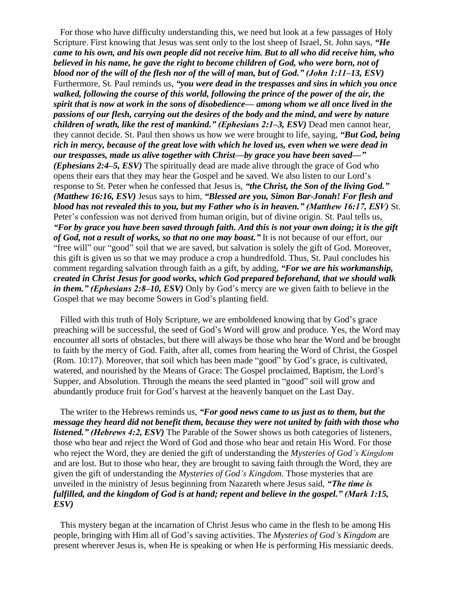For those who have difficulty understanding this, we need but look at a few passages of Holy Scripture. First knowing that Jesus was sent only to the lost sheep of Israel, St. John says, *"He came to his own, and his own people did not receive him. But to all who did receive him, who believed in his name, he gave the right to become children of God, who were born, not of blood nor of the will of the flesh nor of the will of man, but of God." (John 1:11–13, ESV)* Furthermore, St. Paul reminds us, *"you were dead in the trespasses and sins in which you once walked, following the course of this world, following the prince of the power of the air, the spirit that is now at work in the sons of disobedience— among whom we all once lived in the passions of our flesh, carrying out the desires of the body and the mind, and were by nature children of wrath, like the rest of mankind." (Ephesians 2:1–3, ESV)* Dead men cannot hear, they cannot decide. St. Paul then shows us how we were brought to life, saying, *"But God, being rich in mercy, because of the great love with which he loved us, even when we were dead in our trespasses, made us alive together with Christ—by grace you have been saved—" (Ephesians 2:4–5, ESV)* The spiritually dead are made alive through the grace of God who opens their ears that they may hear the Gospel and be saved. We also listen to our Lord's response to St. Peter when he confessed that Jesus is, *"the Christ, the Son of the living God." (Matthew 16:16, ESV)* Jesus says to him, *"Blessed are you, Simon Bar-Jonah! For flesh and blood has not revealed this to you, but my Father who is in heaven." (Matthew 16:17, ESV)* St. Peter's confession was not derived from human origin, but of divine origin. St. Paul tells us, *"For by grace you have been saved through faith. And this is not your own doing; it is the gift of God, not a result of works, so that no one may boast."* It is not because of our effort, our "free will" our "good" soil that we are saved, but salvation is solely the gift of God. Moreover, this gift is given us so that we may produce a crop a hundredfold. Thus, St. Paul concludes his comment regarding salvation through faith as a gift, by adding, *"For we are his workmanship, created in Christ Jesus for good works, which God prepared beforehand, that we should walk in them." (Ephesians 2:8–10, ESV)* Only by God's mercy are we given faith to believe in the Gospel that we may become Sowers in God's planting field.

Filled with this truth of Holy Scripture, we are emboldened knowing that by God's grace preaching will be successful, the seed of God's Word will grow and produce. Yes, the Word may encounter all sorts of obstacles, but there will always be those who hear the Word and be brought to faith by the mercy of God. Faith, after all, comes from hearing the Word of Christ, the Gospel (Rom. 10:17). Moreover, that soil which has been made "good" by God's grace, is cultivated, watered, and nourished by the Means of Grace: The Gospel proclaimed, Baptism, the Lord's Supper, and Absolution. Through the means the seed planted in "good" soil will grow and abundantly produce fruit for God's harvest at the heavenly banquet on the Last Day.

The writer to the Hebrews reminds us, *"For good news came to us just as to them, but the message they heard did not benefit them, because they were not united by faith with those who listened." (Hebrews 4:2, ESV)* The Parable of the Sower shows us both categories of listeners, those who hear and reject the Word of God and those who hear and retain His Word. For those who reject the Word, they are denied the gift of understanding the *Mysteries of God's Kingdom* and are lost. But to those who hear, they are brought to saving faith through the Word, they are given the gift of understanding the *Mysteries of God's Kingdom.* Those mysteries that are unveiled in the ministry of Jesus beginning from Nazareth where Jesus said, *"The time is fulfilled, and the kingdom of God is at hand; repent and believe in the gospel." (Mark 1:15, ESV)*

This mystery began at the incarnation of Christ Jesus who came in the flesh to be among His people, bringing with Him all of God's saving activities. The *Mysteries of God's Kingdom* are present wherever Jesus is, when He is speaking or when He is performing His messianic deeds.